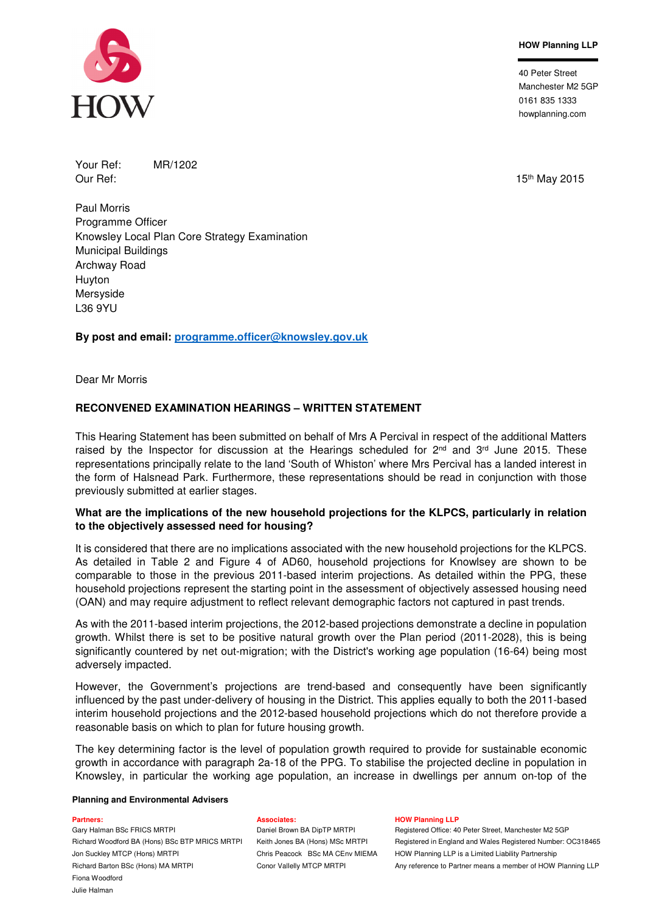### **HOW Planning LLP**

40 Peter Street Manchester M2 5GP 0161 835 1333 howplanning.com

Your Ref: MR/1202

Our Ref: 15th May 2015

Paul Morris Programme Officer Knowsley Local Plan Core Strategy Examination Municipal Buildings Archway Road Huyton Mersyside L36 9YU

# **By post and email: programme.officer@knowsley.gov.uk**

Dear Mr Morris

# **RECONVENED EXAMINATION HEARINGS – WRITTEN STATEMENT**

This Hearing Statement has been submitted on behalf of Mrs A Percival in respect of the additional Matters raised by the Inspector for discussion at the Hearings scheduled for  $2^{nd}$  and  $3^{rd}$  June 2015. These representations principally relate to the land 'South of Whiston' where Mrs Percival has a landed interest in the form of Halsnead Park. Furthermore, these representations should be read in conjunction with those previously submitted at earlier stages.

### **What are the implications of the new household projections for the KLPCS, particularly in relation to the objectively assessed need for housing?**

It is considered that there are no implications associated with the new household projections for the KLPCS. As detailed in Table 2 and Figure 4 of AD60, household projections for Knowlsey are shown to be comparable to those in the previous 2011-based interim projections. As detailed within the PPG, these household projections represent the starting point in the assessment of objectively assessed housing need (OAN) and may require adjustment to reflect relevant demographic factors not captured in past trends.

As with the 2011-based interim projections, the 2012-based projections demonstrate a decline in population growth. Whilst there is set to be positive natural growth over the Plan period (2011-2028), this is being significantly countered by net out-migration; with the District's working age population (16-64) being most adversely impacted.

However, the Government's projections are trend-based and consequently have been significantly influenced by the past under-delivery of housing in the District. This applies equally to both the 2011-based interim household projections and the 2012-based household projections which do not therefore provide a reasonable basis on which to plan for future housing growth.

The key determining factor is the level of population growth required to provide for sustainable economic growth in accordance with paragraph 2a-18 of the PPG. To stabilise the projected decline in population in Knowsley, in particular the working age population, an increase in dwellings per annum on-top of the

### **Planning and Environmental Advisers**

Jon Suckley MTCP (Hons) MRTPI Chris Peacock BSc MA CEnv MIEMA HOW Planning LLP is a Limited Liability Partnership Fiona Woodford Julie Halman

### **Partners: Associates: HOW Planning LLP**

Gary Halman BSc FRICS MRTPI **Daniel Brown BA DipTP MRTPI** Registered Office: 40 Peter Street, Manchester M2 5GP Richard Woodford BA (Hons) BSc BTP MRICS MRTPI Keith Jones BA (Hons) MSc MRTPI Registered in England and Wales Registered Number: OC318465 Richard Barton BSc (Hons) MA MRTPI Conor Vallelly MTCP MRTPI Any reference to Partner means a member of HOW Planning LLP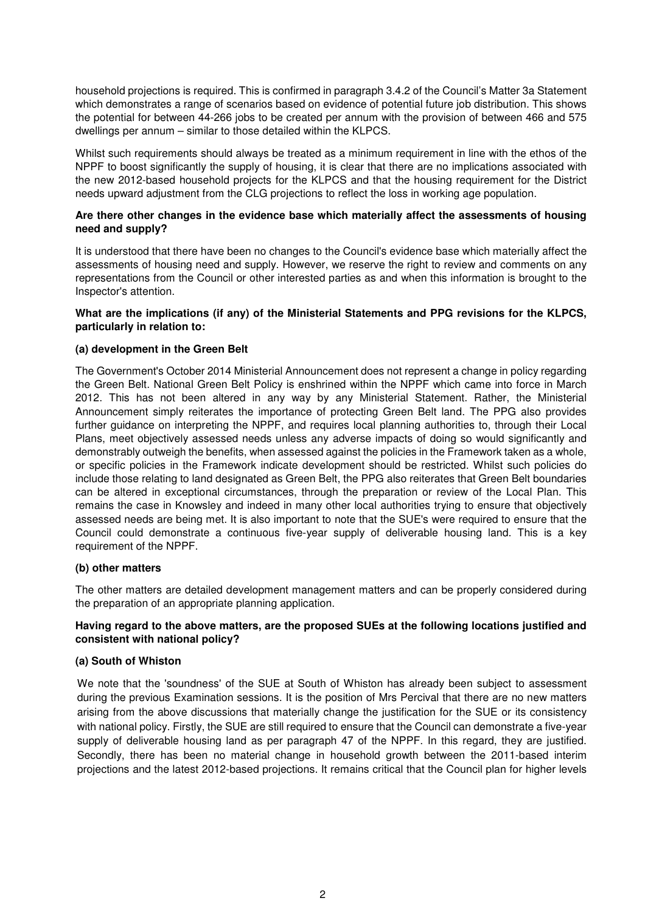household projections is required. This is confirmed in paragraph 3.4.2 of the Council's Matter 3a Statement which demonstrates a range of scenarios based on evidence of potential future job distribution. This shows the potential for between 44-266 jobs to be created per annum with the provision of between 466 and 575 dwellings per annum – similar to those detailed within the KLPCS.

Whilst such requirements should always be treated as a minimum requirement in line with the ethos of the NPPF to boost significantly the supply of housing, it is clear that there are no implications associated with the new 2012-based household projects for the KLPCS and that the housing requirement for the District needs upward adjustment from the CLG projections to reflect the loss in working age population.

### **Are there other changes in the evidence base which materially affect the assessments of housing need and supply?**

It is understood that there have been no changes to the Council's evidence base which materially affect the assessments of housing need and supply. However, we reserve the right to review and comments on any representations from the Council or other interested parties as and when this information is brought to the Inspector's attention.

### **What are the implications (if any) of the Ministerial Statements and PPG revisions for the KLPCS, particularly in relation to:**

### **(a) development in the Green Belt**

The Government's October 2014 Ministerial Announcement does not represent a change in policy regarding the Green Belt. National Green Belt Policy is enshrined within the NPPF which came into force in March 2012. This has not been altered in any way by any Ministerial Statement. Rather, the Ministerial Announcement simply reiterates the importance of protecting Green Belt land. The PPG also provides further guidance on interpreting the NPPF, and requires local planning authorities to, through their Local Plans, meet objectively assessed needs unless any adverse impacts of doing so would significantly and demonstrably outweigh the benefits, when assessed against the policies in the Framework taken as a whole, or specific policies in the Framework indicate development should be restricted. Whilst such policies do include those relating to land designated as Green Belt, the PPG also reiterates that Green Belt boundaries can be altered in exceptional circumstances, through the preparation or review of the Local Plan. This remains the case in Knowsley and indeed in many other local authorities trying to ensure that objectively assessed needs are being met. It is also important to note that the SUE's were required to ensure that the Council could demonstrate a continuous five-year supply of deliverable housing land. This is a key requirement of the NPPF.

### **(b) other matters**

The other matters are detailed development management matters and can be properly considered during the preparation of an appropriate planning application.

# **Having regard to the above matters, are the proposed SUEs at the following locations justified and consistent with national policy?**

### **(a) South of Whiston**

We note that the 'soundness' of the SUE at South of Whiston has already been subject to assessment during the previous Examination sessions. It is the position of Mrs Percival that there are no new matters arising from the above discussions that materially change the justification for the SUE or its consistency with national policy. Firstly, the SUE are still required to ensure that the Council can demonstrate a five-year supply of deliverable housing land as per paragraph 47 of the NPPF. In this regard, they are justified. Secondly, there has been no material change in household growth between the 2011-based interim projections and the latest 2012-based projections. It remains critical that the Council plan for higher levels